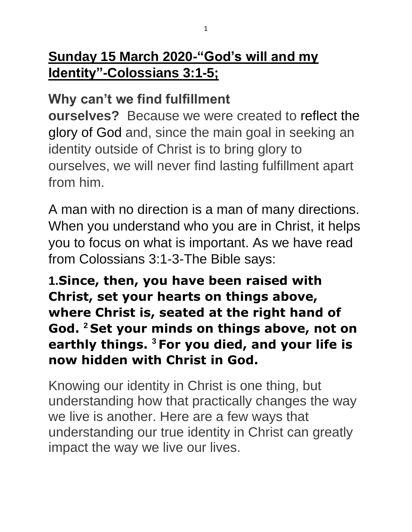### **Why can't we find fulfillment**

**ourselves?** Because we were created to [reflect the](https://unlockingthebible.org/2019/05/be-who-you-jesus-christ/)  [glory of God](https://unlockingthebible.org/2019/05/be-who-you-jesus-christ/) and, since the main goal in seeking an identity outside of Christ is to bring glory to ourselves, we will never find lasting fulfillment apart from him.

A man with no direction is a man of many directions. When you understand who you are in Christ, it helps you to focus on what is important. As we have read from Colossians 3:1-3-The Bible says:

**1.Since, then, you have been raised with Christ, set your hearts on things above, where Christ is, seated at the right hand of God. <sup>2</sup> Set your minds on things above, not on earthly things. <sup>3</sup> For you died, and your life is now hidden with Christ in God.**

Knowing our identity in Christ is one thing, but understanding how that practically changes the way we live is another. Here are a few ways that understanding our true identity in Christ can greatly impact the way we live our lives.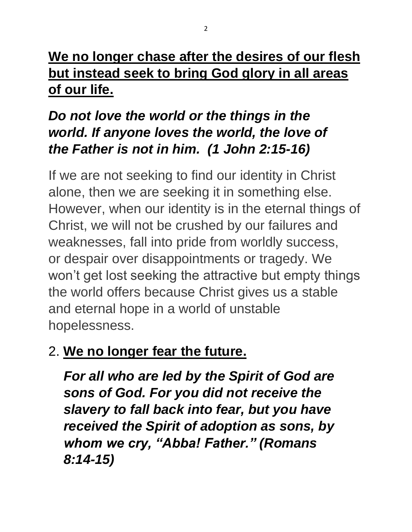## **We no longer chase after the desires of our flesh but instead seek to bring God glory in all areas of our life.**

## *Do not love the world or the things in the world. If anyone loves the world, the love of the Father is not in him. (1 John 2:15-16)*

If we are not seeking to find our identity in Christ alone, then we are seeking it in something else. However, when our identity is in the eternal things of Christ, we will not be crushed by our failures and weaknesses, fall into pride from worldly success, or despair over disappointments or tragedy. We won't get lost seeking the attractive but empty things the world offers because Christ gives us a stable and eternal hope in a world of unstable hopelessness.

## 2. **We no longer fear the future.**

*For all who are led by the Spirit of God are sons of God. For you did not receive the slavery to fall back into fear, but you have received the Spirit of adoption as sons, by whom we cry, "Abba! Father." (Romans 8:14-15)*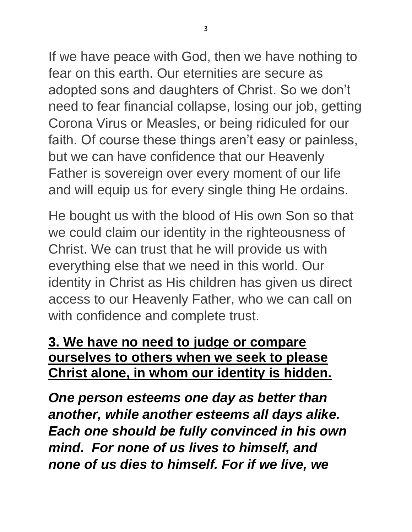If we have peace with God, then we have nothing to fear on this earth. Our eternities are secure as adopted sons and daughters of Christ. So we don't need to fear financial collapse, losing our job, getting Corona Virus or Measles, or being ridiculed for our faith. Of course these things aren't easy or painless, but we can have confidence that our Heavenly Father is sovereign over every moment of our life and will equip us for every single thing He ordains.

He bought us with the blood of His own Son so that we could claim our identity in the righteousness of Christ. We can trust that he will provide us with everything else that we need in this world. Our identity in Christ as His children has given us direct access to our Heavenly Father, who we can call on with confidence and complete trust.

#### **3. We have no need to judge or compare ourselves to others when we seek to please Christ alone, in whom our identity is hidden.**

*One person esteems one day as better than another, while another esteems all days alike. Each one should be fully convinced in his own mind. For none of us lives to himself, and none of us dies to himself. For if we live, we*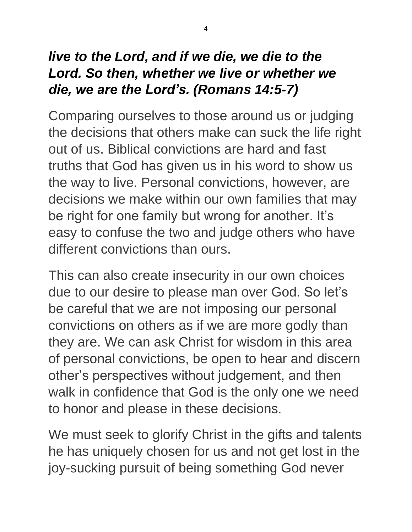## *live to the Lord, and if we die, we die to the Lord. So then, whether we live or whether we die, we are the Lord's. (Romans 14:5-7)*

Comparing ourselves to those around us or judging the decisions that others make can suck the life right out of us. Biblical convictions are hard and fast truths that God has given us in his word to show us the way to live. Personal convictions, however, are decisions we make within our own families that may be right for one family but wrong for another. It's easy to confuse the two and judge others who have different convictions than ours.

This can also create insecurity in our own choices due to our desire to please man over God. So let's be careful that we are not imposing our personal convictions on others as if we are more godly than they are. We can ask Christ for wisdom in this area of personal convictions, be open to hear and discern other's perspectives without judgement, and then walk in confidence that God is the only one we need to honor and please in these decisions.

We must seek to glorify Christ in the gifts and talents he has uniquely chosen for us and not get lost in the joy-sucking pursuit of being something God never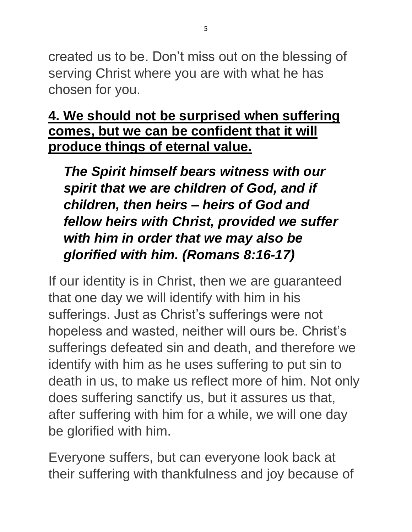created us to be. Don't miss out on the blessing of serving Christ where you are with what he has chosen for you.

#### **4. We should not be surprised when suffering comes, but we can be confident that it will produce things of eternal value.**

*The Spirit himself bears witness with our spirit that we are children of God, and if children, then heirs – heirs of God and fellow heirs with Christ, provided we suffer with him in order that we may also be glorified with him. (Romans 8:16-17)*

If our identity is in Christ, then we are guaranteed that one day we will identify with him in his sufferings. Just as Christ's sufferings were not hopeless and wasted, neither will ours be. Christ's sufferings defeated sin and death, and therefore we identify with him as he uses suffering to put sin to death in us, to make us reflect more of him. Not only does suffering sanctify us, but it assures us that, after suffering with him for a while, we will one day be glorified with him.

Everyone suffers, but can everyone look back at their suffering with thankfulness and joy because of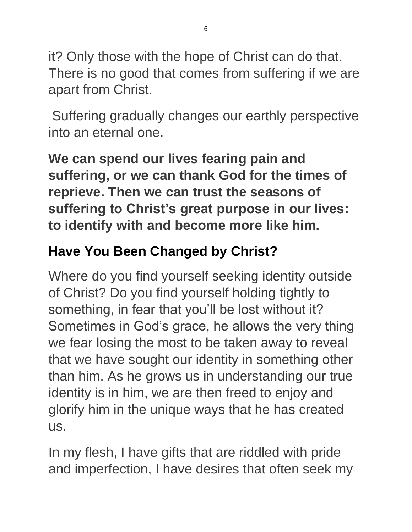it? Only those with the hope of Christ can do that. There is no good that comes from suffering if we are apart from Christ.

Suffering gradually changes our earthly perspective into an eternal one.

**We can spend our lives fearing pain and suffering, or we can thank God for the times of reprieve. Then we can trust the seasons of suffering to Christ's great purpose in our lives: to identify with and become more like him.**

# **Have You Been Changed by Christ?**

Where do you find yourself seeking identity outside of Christ? Do you find yourself holding tightly to something, in fear that you'll be lost without it? Sometimes in God's grace, he allows the very thing we fear losing the most to be taken away to reveal that we have sought our identity in something other than him. As he grows us in understanding our true identity is in him, we are then freed to enjoy and glorify him in the unique ways that he has created us.

In my flesh, I have gifts that are riddled with pride and imperfection, I have desires that often seek my